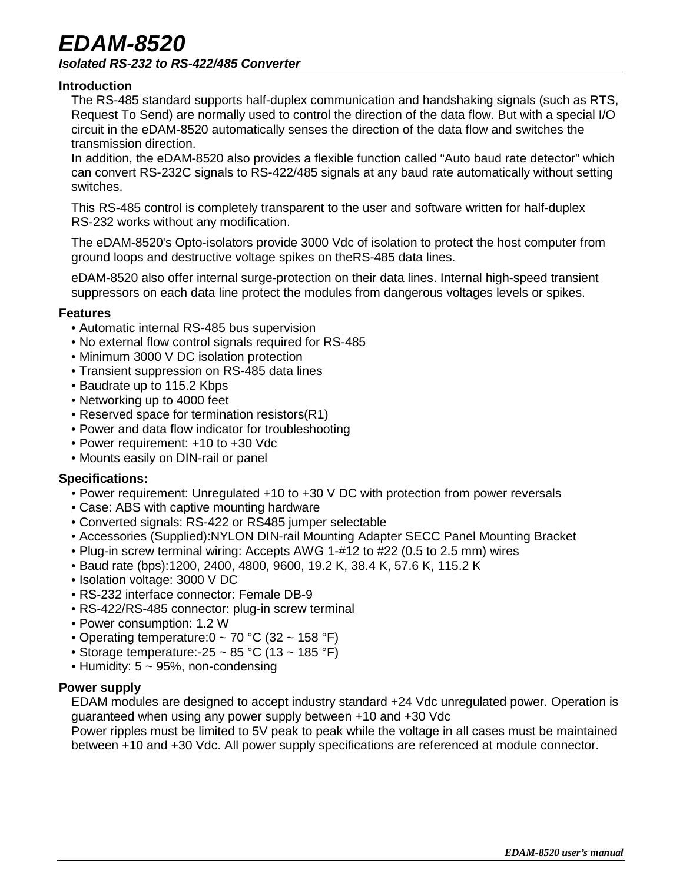## *EDAM-8520 Isolated RS-232 to RS-422/485 Converter*

### **Introduction**

The RS-485 standard supports half-duplex communication and handshaking signals (such as RTS, Request To Send) are normally used to control the direction of the data flow. But with a special I/O circuit in the eDAM-8520 automatically senses the direction of the data flow and switches the transmission direction.

In addition, the eDAM-8520 also provides a flexible function called "Auto baud rate detector" which can convert RS-232C signals to RS-422/485 signals at any baud rate automatically without setting switches.

This RS-485 control is completely transparent to the user and software written for half-duplex RS-232 works without any modification.

The eDAM-8520's Opto-isolators provide 3000 Vdc of isolation to protect the host computer from ground loops and destructive voltage spikes on theRS-485 data lines.

eDAM-8520 also offer internal surge-protection on their data lines. Internal high-speed transient suppressors on each data line protect the modules from dangerous voltages levels or spikes.

### **Features**

- Automatic internal RS-485 bus supervision
- No external flow control signals required for RS-485
- Minimum 3000 V DC isolation protection
- Transient suppression on RS-485 data lines
- Baudrate up to 115.2 Kbps
- Networking up to 4000 feet
- Reserved space for termination resistors(R1)
- Power and data flow indicator for troubleshooting
- Power requirement: +10 to +30 Vdc
- Mounts easily on DIN-rail or panel

### **Specifications:**

- Power requirement: Unregulated +10 to +30 V DC with protection from power reversals
- Case: ABS with captive mounting hardware
- Converted signals: RS-422 or RS485 jumper selectable
- Accessories (Supplied):NYLON DIN-rail Mounting Adapter SECC Panel Mounting Bracket
- Plug-in screw terminal wiring: Accepts AWG 1-#12 to #22 (0.5 to 2.5 mm) wires
- Baud rate (bps):1200, 2400, 4800, 9600, 19.2 K, 38.4 K, 57.6 K, 115.2 K
- Isolation voltage: 3000 V DC
- RS-232 interface connector: Female DB-9
- RS-422/RS-485 connector: plug-in screw terminal
- Power consumption: 1.2 W
- Operating temperature: $0 \sim 70$  °C (32  $\sim 158$  °F)
- Storage temperature: -25 ~ 85 °C (13 ~ 185 °F)
- Humidity:  $5 \sim 95\%$ , non-condensing

### **Power supply**

EDAM modules are designed to accept industry standard +24 Vdc unregulated power. Operation is guaranteed when using any power supply between +10 and +30 Vdc

Power ripples must be limited to 5V peak to peak while the voltage in all cases must be maintained between +10 and +30 Vdc. All power supply specifications are referenced at module connector.